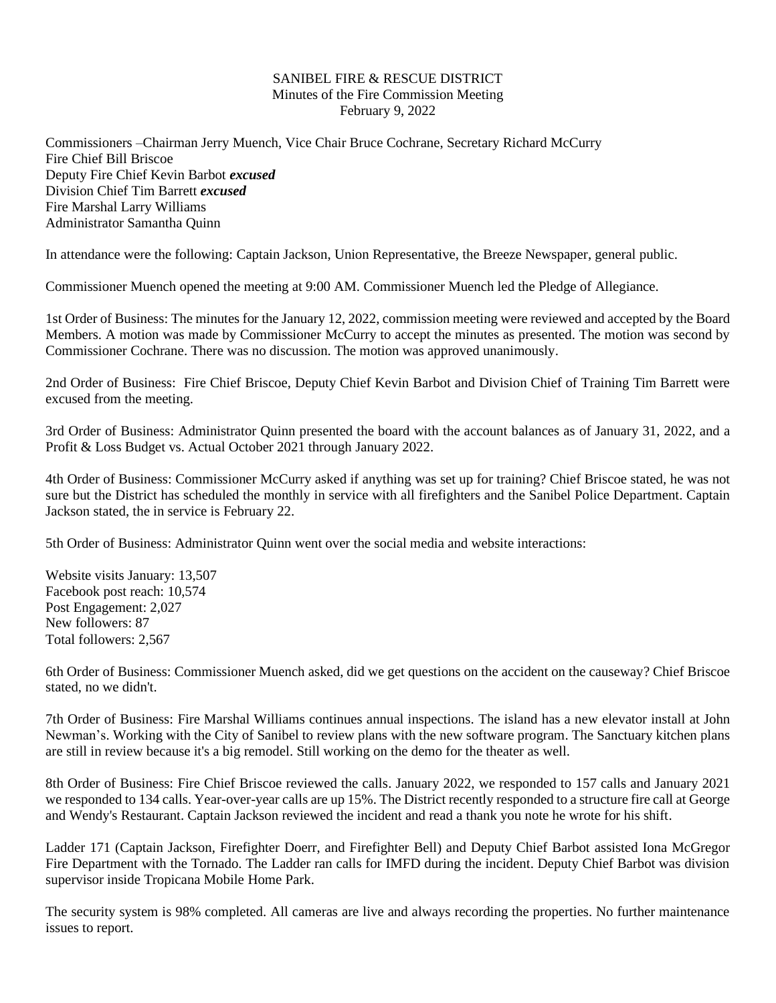## SANIBEL FIRE & RESCUE DISTRICT Minutes of the Fire Commission Meeting February 9, 2022

Commissioners –Chairman Jerry Muench, Vice Chair Bruce Cochrane, Secretary Richard McCurry Fire Chief Bill Briscoe Deputy Fire Chief Kevin Barbot *excused* Division Chief Tim Barrett *excused* Fire Marshal Larry Williams Administrator Samantha Quinn

In attendance were the following: Captain Jackson, Union Representative, the Breeze Newspaper, general public.

Commissioner Muench opened the meeting at 9:00 AM. Commissioner Muench led the Pledge of Allegiance.

1st Order of Business: The minutes for the January 12, 2022, commission meeting were reviewed and accepted by the Board Members. A motion was made by Commissioner McCurry to accept the minutes as presented. The motion was second by Commissioner Cochrane. There was no discussion. The motion was approved unanimously.

2nd Order of Business: Fire Chief Briscoe, Deputy Chief Kevin Barbot and Division Chief of Training Tim Barrett were excused from the meeting.

3rd Order of Business: Administrator Quinn presented the board with the account balances as of January 31, 2022, and a Profit & Loss Budget vs. Actual October 2021 through January 2022.

4th Order of Business: Commissioner McCurry asked if anything was set up for training? Chief Briscoe stated, he was not sure but the District has scheduled the monthly in service with all firefighters and the Sanibel Police Department. Captain Jackson stated, the in service is February 22.

5th Order of Business: Administrator Quinn went over the social media and website interactions:

Website visits January: 13,507 Facebook post reach: 10,574 Post Engagement: 2,027 New followers: 87 Total followers: 2,567

6th Order of Business: Commissioner Muench asked, did we get questions on the accident on the causeway? Chief Briscoe stated, no we didn't.

7th Order of Business: Fire Marshal Williams continues annual inspections. The island has a new elevator install at John Newman's. Working with the City of Sanibel to review plans with the new software program. The Sanctuary kitchen plans are still in review because it's a big remodel. Still working on the demo for the theater as well.

8th Order of Business: Fire Chief Briscoe reviewed the calls. January 2022, we responded to 157 calls and January 2021 we responded to 134 calls. Year-over-year calls are up 15%. The District recently responded to a structure fire call at George and Wendy's Restaurant. Captain Jackson reviewed the incident and read a thank you note he wrote for his shift.

Ladder 171 (Captain Jackson, Firefighter Doerr, and Firefighter Bell) and Deputy Chief Barbot assisted Iona McGregor Fire Department with the Tornado. The Ladder ran calls for IMFD during the incident. Deputy Chief Barbot was division supervisor inside Tropicana Mobile Home Park.

The security system is 98% completed. All cameras are live and always recording the properties. No further maintenance issues to report.